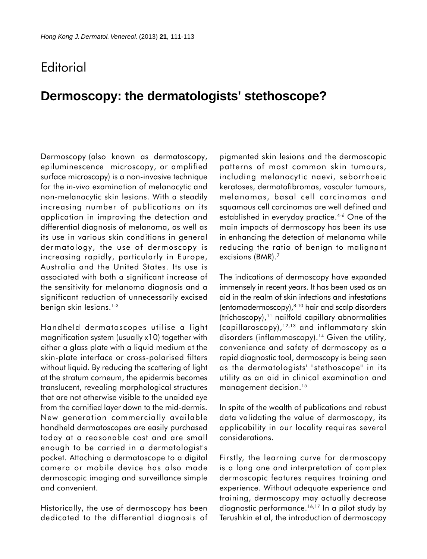## **Editorial**

## **Dermoscopy: the dermatologists' stethoscope?**

Dermoscopy (also known as dermatoscopy, epiluminescence microscopy, or amplified surface microscopy) is a non-invasive technique for the *in-vivo* examination of melanocytic and non-melanocytic skin lesions. With a steadily increasing number of publications on its application in improving the detection and differential diagnosis of melanoma, as well as its use in various skin conditions in general dermatology, the use of dermoscopy is increasing rapidly, particularly in Europe, Australia and the United States. Its use is associated with both a significant increase of the sensitivity for melanoma diagnosis and a significant reduction of unnecessarily excised benign skin lesions.<sup>1-3</sup>

Handheld dermatoscopes utilise a light magnification system (usually x10) together with either a glass plate with a liquid medium at the skin-plate interface or cross-polarised filters without liquid. By reducing the scattering of light at the stratum corneum, the epidermis becomes translucent, revealing morphological structures that are not otherwise visible to the unaided eye from the cornified layer down to the mid-dermis. New generation commercially available handheld dermatoscopes are easily purchased today at a reasonable cost and are small enough to be carried in a dermatologist's pocket. Attaching a dermatoscope to a digital camera or mobile device has also made dermoscopic imaging and surveillance simple and convenient.

Historically, the use of dermoscopy has been dedicated to the differential diagnosis of pigmented skin lesions and the dermoscopic patterns of most common skin tumours, including melanocytic naevi, seborrhoeic keratoses, dermatofibromas, vascular tumours, melanomas, basal cell carcinomas and squamous cell carcinomas are well defined and established in everyday practice.<sup>4-6</sup> One of the main impacts of dermoscopy has been its use in enhancing the detection of melanoma while reducing the ratio of benign to malignant excisions (BMR).<sup>7</sup>

The indications of dermoscopy have expanded immensely in recent years. It has been used as an aid in the realm of skin infections and infestations (entomodermoscopy),8-10 hair and scalp disorders (trichoscopy),11 nailfold capillary abnormalities (capillaroscopy),12,13 and inflammatory skin disorders (inflammoscopy).<sup>14</sup> Given the utility, convenience and safety of dermoscopy as a rapid diagnostic tool, dermoscopy is being seen as the dermatologists' "stethoscope" in its utility as an aid in clinical examination and management decision.<sup>15</sup>

In spite of the wealth of publications and robust data validating the value of dermoscopy, its applicability in our locality requires several considerations.

Firstly, the learning curve for dermoscopy is a long one and interpretation of complex dermoscopic features requires training and experience. Without adequate experience and training, dermoscopy may actually decrease diagnostic performance.<sup>16,17</sup> In a pilot study by Terushkin et al, the introduction of dermoscopy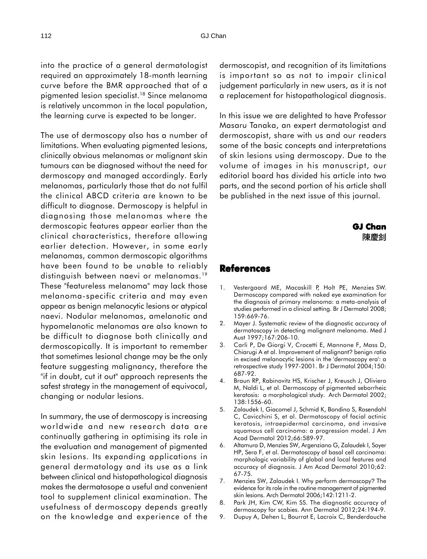into the practice of a general dermatologist required an approximately 18-month learning curve before the BMR approached that of a pigmented lesion specialist.18 Since melanoma is relatively uncommon in the local population, the learning curve is expected to be longer.

The use of dermoscopy also has a number of limitations. When evaluating pigmented lesions, clinically obvious melanomas or malignant skin tumours can be diagnosed without the need for dermoscopy and managed accordingly. Early melanomas, particularly those that do not fulfil the clinical ABCD criteria are known to be difficult to diagnose. Dermoscopy is helpful in diagnosing those melanomas where the dermoscopic features appear earlier than the clinical characteristics, therefore allowing earlier detection. However, in some early melanomas, common dermoscopic algorithms have been found to be unable to reliably distinguish between naevi or melanomas.<sup>19</sup> These "featureless melanoma" may lack those melanoma-specific criteria and may even appear as benign melanocytic lesions or atypical naevi. Nodular melanomas, amelanotic and hypomelanotic melanomas are also known to be difficult to diagnose both clinically and dermoscopically. It is important to remember that sometimes lesional change may be the only feature suggesting malignancy, therefore the "if in doubt, cut it out" approach represents the safest strategy in the management of equivocal, changing or nodular lesions.

In summary, the use of dermoscopy is increasing worldwide and new research data are continually gathering in optimising its role in the evaluation and management of pigmented skin lesions. Its expanding applications in general dermatology and its use as a link between clinical and histopathological diagnosis makes the dermatosope a useful and convenient tool to supplement clinical examination. The usefulness of dermoscopy depends greatly on the knowledge and experience of the

dermoscopist, and recognition of its limitations is important so as not to impair clinical judgement particularly in new users, as it is not a replacement for histopathological diagnosis.

In this issue we are delighted to have Professor Masaru Tanaka, an expert dermatologist and dermoscopist, share with us and our readers some of the basic concepts and interpretations of skin lesions using dermoscopy. Due to the volume of images in his manuscript, our editorial board has divided his article into two parts, and the second portion of his article shall be published in the next issue of this journal.

## **GJ Chan** 陳慶釗

## **References**

- 1. Vestergaard ME, Macaskill P, Holt PE, Menzies SW. Dermoscopy compared with naked eye examination for the diagnosis of primary melanoma: a meta-analysis of studies performed in a clinical setting. Br J Dermatol 2008; 159:669-76.
- 2. Mayer J. Systematic review of the diagnostic accuracy of dermatoscopy in detecting malignant melanoma. Med J Aust 1997;167:206-10.
- 3. Carli P, De Giorgi V, Crocetti E, Mannone F, Mass D, Chiarugi A et al. Improvement of malignant? benign ratio in excised melanocytic lesions in the 'dermoscopy era': a retrospective study 1997-2001. Br J Dermatol 2004;150: 687-92.
- 4. Braun RP, Rabinovitz HS, Krischer J, Kreusch J, Oliviero M, Naldi L, et al. Dermoscopy of pigmented seborrheic keratosis: a morphological study. Arch Dermatol 2002; 138:1556-60.
- 5. Zalaudek I, Giacomel J, Schmid K, Bondino S, Rosendahl C, Cavicchini S, et al. Dermatoscopy of facial actinic keratosis, intraepidermal carcinoma, and invasive squamous cell carcinoma: a progression model. J Am Acad Dermatol 2012;66:589-97.
- 6. Altamura D, Menzies SW, Argenziano G, Zalaudek I, Soyer HP, Sera F, et al. Dermatoscopy of basal cell carcinoma: morphologic variability of global and local features and accuracy of diagnosis. J Am Acad Dermatol 2010;62: 67-75.
- 7. Menzies SW, Zalaudek I. Why perform dermoscopy? The evidence for its role in the routine management of pigmented skin lesions. Arch Dermatol 2006;142:1211-2.
- 8. Park JH, Kim CW, Kim SS. The diagnostic accuracy of dermoscopy for scabies. Ann Dermatol 2012;24:194-9.
- 9. Dupuy A, Dehen L, Bourrat E, Lacroix C, Benderdouche